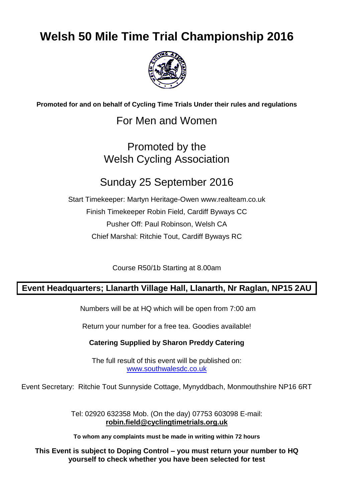# **Welsh 50 Mile Time Trial Championship 2016**



**Promoted for and on behalf of Cycling Time Trials Under their rules and regulations**

### For Men and Women

## Promoted by the Welsh Cycling Association

### Sunday 25 September 2016

Start Timekeeper: Martyn Heritage-Owen www.realteam.co.uk Finish Timekeeper Robin Field, Cardiff Byways CC Pusher Off: Paul Robinson, Welsh CA Chief Marshal: Ritchie Tout, Cardiff Byways RC

Course R50/1b Starting at 8.00am

### **Event Headquarters; Llanarth Village Hall, Llanarth, Nr Raglan, NP15 2AU**

Numbers will be at HQ which will be open from 7:00 am

Return your number for a free tea. Goodies available!

#### **Catering Supplied by Sharon Preddy Catering**

The full result of this event will be published on: [www.southwalesdc.co.uk](file:///G:/WCA%20pre%202010/WCA%20100%202005/www.southwalesdc.co.uk)

Event Secretary: Ritchie Tout Sunnyside Cottage, Mynyddbach, Monmouthshire NP16 6RT

Tel: 02920 632358 Mob. (On the day) 07753 603098 E-mail: **[robin.field@cyclingtimetrials.org.uk](mailto:robin.field@cyclingtimetrials.org.uk)**

**To whom any complaints must be made in writing within 72 hours**

**This Event is subject to Doping Control – you must return your number to HQ yourself to check whether you have been selected for test**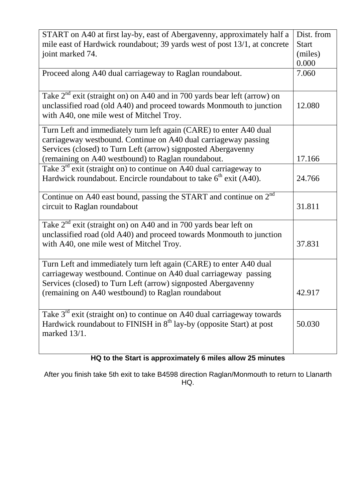| START on A40 at first lay-by, east of Abergavenny, approximately half a       | Dist. from   |
|-------------------------------------------------------------------------------|--------------|
| mile east of Hardwick roundabout; 39 yards west of post 13/1, at concrete     | <b>Start</b> |
| joint marked 74.                                                              | (miles)      |
|                                                                               | 0.000        |
| Proceed along A40 dual carriageway to Raglan roundabout.                      | 7.060        |
|                                                                               |              |
| Take $2^{nd}$ exit (straight on) on A40 and in 700 yards bear left (arrow) on |              |
| unclassified road (old A40) and proceed towards Monmouth to junction          | 12.080       |
| with A40, one mile west of Mitchel Troy.                                      |              |
| Turn Left and immediately turn left again (CARE) to enter A40 dual            |              |
| carriageway westbound. Continue on A40 dual carriageway passing               |              |
| Services (closed) to Turn Left (arrow) signposted Abergavenny                 |              |
| (remaining on A40 westbound) to Raglan roundabout.                            | 17.166       |
| Take $3rd$ exit (straight on) to continue on A40 dual carriageway to          |              |
| Hardwick roundabout. Encircle roundabout to take $6th$ exit (A40).            | 24.766       |
|                                                                               |              |
| Continue on A40 east bound, passing the START and continue on $2nd$           |              |
| circuit to Raglan roundabout                                                  | 31.811       |
| Take $2^{nd}$ exit (straight on) on A40 and in 700 yards bear left on         |              |
| unclassified road (old A40) and proceed towards Monmouth to junction          |              |
| with A40, one mile west of Mitchel Troy.                                      | 37.831       |
|                                                                               |              |
| Turn Left and immediately turn left again (CARE) to enter A40 dual            |              |
| carriageway westbound. Continue on A40 dual carriageway passing               |              |
| Services (closed) to Turn Left (arrow) signposted Abergavenny                 |              |
| (remaining on A40 westbound) to Raglan roundabout                             | 42.917       |
|                                                                               |              |
| Take $3rd$ exit (straight on) to continue on A40 dual carriageway towards     |              |
| Hardwick roundabout to FINISH in $8th$ lay-by (opposite Start) at post        | 50.030       |
| marked 13/1.                                                                  |              |
|                                                                               |              |
|                                                                               |              |

### **HQ to the Start is approximately 6 miles allow 25 minutes**

After you finish take 5th exit to take B4598 direction Raglan/Monmouth to return to Llanarth HQ.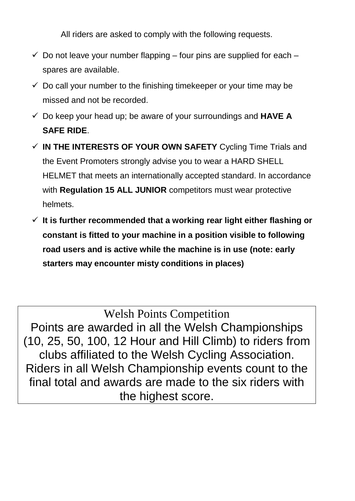All riders are asked to comply with the following requests.

- $\checkmark$  Do not leave your number flapping four pins are supplied for each spares are available.
- $\checkmark$  Do call your number to the finishing timekeeper or your time may be missed and not be recorded.
- Do keep your head up; be aware of your surroundings and **HAVE A SAFE RIDE**.
- **IN THE INTERESTS OF YOUR OWN SAFETY** Cycling Time Trials and the Event Promoters strongly advise you to wear a HARD SHELL HELMET that meets an internationally accepted standard. In accordance with **Regulation 15 ALL JUNIOR** competitors must wear protective helmets.
- **It is further recommended that a working rear light either flashing or constant is fitted to your machine in a position visible to following road users and is active while the machine is in use (note: early starters may encounter misty conditions in places)**

Welsh Points Competition Points are awarded in all the Welsh Championships (10, 25, 50, 100, 12 Hour and Hill Climb) to riders from clubs affiliated to the Welsh Cycling Association. Riders in all Welsh Championship events count to the final total and awards are made to the six riders with the highest score.